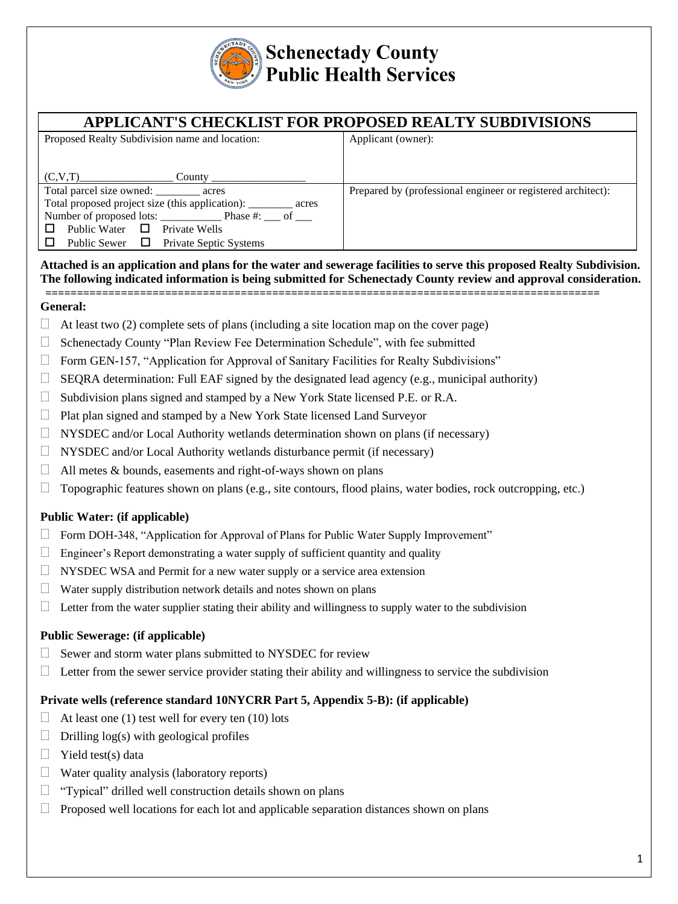

# **Schenectady County Public Health Services**

| APPLICANT'S CHECKLIST FOR PROPOSED REALTY SUBDIVISIONS         |                                                              |
|----------------------------------------------------------------|--------------------------------------------------------------|
| Proposed Realty Subdivision name and location:                 | Applicant (owner):                                           |
|                                                                |                                                              |
| (C, V, T)<br>County $\_\_$                                     |                                                              |
|                                                                |                                                              |
| Total parcel size owned: _______ acres                         | Prepared by (professional engineer or registered architect): |
| Total proposed project size (this application): ________ acres |                                                              |
|                                                                |                                                              |
| Public Water $\Box$ Private Wells                              |                                                              |
| Public Sewer $\Box$ Private Septic Systems<br>$\Box$           |                                                              |

### **Attached is an application and plans for the water and sewerage facilities to serve this proposed Realty Subdivision. The following indicated information is being submitted for Schenectady County review and approval consideration. ========================================================================================**

## **General:**

- $\Box$  At least two (2) complete sets of plans (including a site location map on the cover page)
- $\Box$  Schenectady County "Plan Review Fee Determination Schedule", with fee submitted
- $\Box$  Form GEN-157, "Application for Approval of Sanitary Facilities for Realty Subdivisions"
- $\Box$  SEQRA determination: Full EAF signed by the designated lead agency (e.g., municipal authority)
- $\Box$  Subdivision plans signed and stamped by a New York State licensed P.E. or R.A.
- $\Box$  Plat plan signed and stamped by a New York State licensed Land Surveyor
- $\Box$  NYSDEC and/or Local Authority wetlands determination shown on plans (if necessary)
- $\Box$  NYSDEC and/or Local Authority wetlands disturbance permit (if necessary)
- $\Box$  All metes & bounds, easements and right-of-ways shown on plans
- $\Box$  Topographic features shown on plans (e.g., site contours, flood plains, water bodies, rock outcropping, etc.)

## **Public Water: (if applicable)**

- $\Box$  Form DOH-348, "Application for Approval of Plans for Public Water Supply Improvement"
- $\Box$  Engineer's Report demonstrating a water supply of sufficient quantity and quality
- $\Box$  NYSDEC WSA and Permit for a new water supply or a service area extension
- $\Box$  Water supply distribution network details and notes shown on plans
- $\Box$  Letter from the water supplier stating their ability and willingness to supply water to the subdivision

## **Public Sewerage: (if applicable)**

- $\Box$  Sewer and storm water plans submitted to NYSDEC for review
- $\Box$  Letter from the sewer service provider stating their ability and willingness to service the subdivision

## **Private wells (reference standard 10NYCRR Part 5, Appendix 5-B): (if applicable)**

- $\Box$  At least one (1) test well for every ten (10) lots
- $\Box$  Drilling log(s) with geological profiles
- $\Box$  Yield test(s) data
- $\Box$  Water quality analysis (laboratory reports)
- $\Box$  "Typical" drilled well construction details shown on plans
- $\Box$  Proposed well locations for each lot and applicable separation distances shown on plans